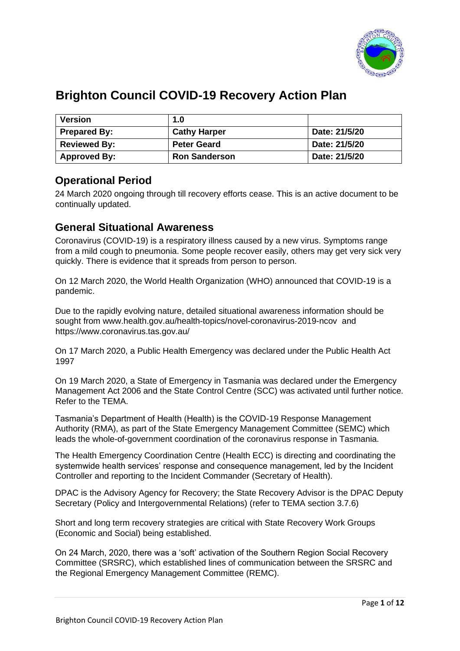

# **Brighton Council COVID-19 Recovery Action Plan**

| <b>Version</b>      | 1.0                  |               |
|---------------------|----------------------|---------------|
| <b>Prepared By:</b> | <b>Cathy Harper</b>  | Date: 21/5/20 |
| <b>Reviewed By:</b> | <b>Peter Geard</b>   | Date: 21/5/20 |
| <b>Approved By:</b> | <b>Ron Sanderson</b> | Date: 21/5/20 |

### **Operational Period**

24 March 2020 ongoing through till recovery efforts cease. This is an active document to be continually updated.

### **General Situational Awareness**

Coronavirus (COVID-19) is a respiratory illness caused by a new virus. Symptoms range from a mild cough to pneumonia. Some people recover easily, others may get very sick very quickly. There is evidence that it spreads from person to person.

On 12 March 2020, the World Health Organization (WHO) announced that COVID-19 is a pandemic.

Due to the rapidly evolving nature, detailed situational awareness information should be sought from [www.health.gov.au/health-topics/novel-coronavirus-2019-ncov](http://www.health.gov.au/health-topics/novel-coronavirus-2019-ncov) and <https://www.coronavirus.tas.gov.au/>

On 17 March 2020, a Public Health Emergency was declared under the Public Health Act 1997

On 19 March 2020, a State of Emergency in Tasmania was declared under the Emergency Management Act 2006 and the State Control Centre (SCC) was activated until further notice. Refer to the TEMA.

Tasmania's Department of Health (Health) is the COVID-19 Response Management Authority (RMA), as part of the State Emergency Management Committee (SEMC) which leads the whole-of-government coordination of the coronavirus response in Tasmania.

The Health Emergency Coordination Centre (Health ECC) is directing and coordinating the systemwide health services' response and consequence management, led by the Incident Controller and reporting to the Incident Commander (Secretary of Health).

DPAC is the Advisory Agency for Recovery; the State Recovery Advisor is the DPAC Deputy Secretary (Policy and Intergovernmental Relations) (refer to TEMA section 3.7.6)

Short and long term recovery strategies are critical with State Recovery Work Groups (Economic and Social) being established.

On 24 March, 2020, there was a 'soft' activation of the Southern Region Social Recovery Committee (SRSRC), which established lines of communication between the SRSRC and the Regional Emergency Management Committee (REMC).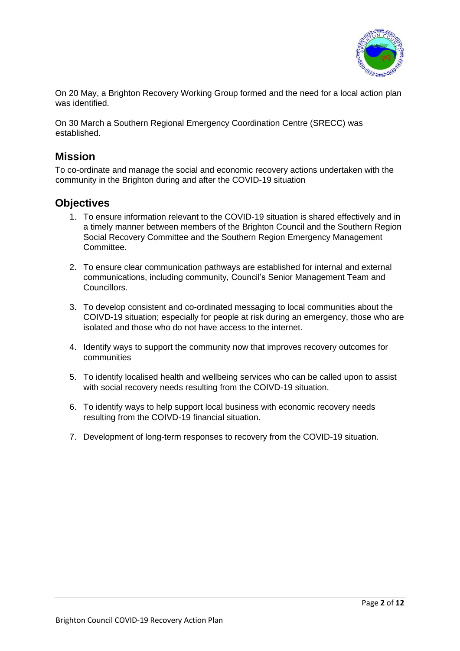

On 20 May, a Brighton Recovery Working Group formed and the need for a local action plan was identified.

On 30 March a Southern Regional Emergency Coordination Centre (SRECC) was established.

### **Mission**

To co-ordinate and manage the social and economic recovery actions undertaken with the community in the Brighton during and after the COVID-19 situation

#### **Objectives**

- 1. To ensure information relevant to the COVID-19 situation is shared effectively and in a timely manner between members of the Brighton Council and the Southern Region Social Recovery Committee and the Southern Region Emergency Management Committee.
- 2. To ensure clear communication pathways are established for internal and external communications, including community, Council's Senior Management Team and Councillors.
- 3. To develop consistent and co-ordinated messaging to local communities about the COIVD-19 situation; especially for people at risk during an emergency, those who are isolated and those who do not have access to the internet.
- 4. Identify ways to support the community now that improves recovery outcomes for communities
- 5. To identify localised health and wellbeing services who can be called upon to assist with social recovery needs resulting from the COIVD-19 situation.
- 6. To identify ways to help support local business with economic recovery needs resulting from the COIVD-19 financial situation.
- 7. Development of long-term responses to recovery from the COVID-19 situation.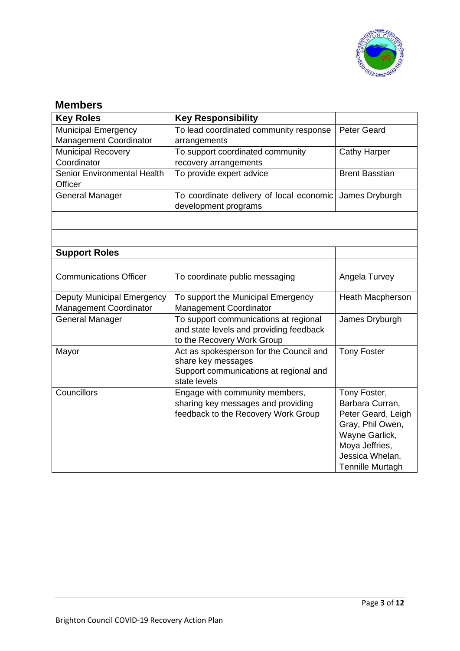

### **Members**

| <b>Key Roles</b>                              | <b>Key Responsibility</b>                                             |                                 |
|-----------------------------------------------|-----------------------------------------------------------------------|---------------------------------|
| Municipal Emergency<br>Management Coordinator | To lead coordinated community response<br>arrangements                | <b>Peter Geard</b>              |
| <b>Municipal Recovery</b>                     | To support coordinated community                                      | <b>Cathy Harper</b>             |
| Coordinator                                   | recovery arrangements                                                 |                                 |
| Senior Environmental Health<br>Officer        | To provide expert advice                                              | <b>Brent Basstian</b>           |
| General Manager                               | To coordinate delivery of local economic<br>development programs      | James Dryburgh                  |
|                                               |                                                                       |                                 |
|                                               |                                                                       |                                 |
| <b>Support Roles</b>                          |                                                                       |                                 |
|                                               |                                                                       |                                 |
| <b>Communications Officer</b>                 | To coordinate public messaging                                        | Angela Turvey                   |
| <b>Deputy Municipal Emergency</b>             | To support the Municipal Emergency                                    | Heath Macpherson                |
| <b>Management Coordinator</b>                 | <b>Management Coordinator</b>                                         |                                 |
| <b>General Manager</b>                        | To support communications at regional                                 | James Dryburgh                  |
|                                               | and state levels and providing feedback<br>to the Recovery Work Group |                                 |
| Mayor                                         | Act as spokesperson for the Council and                               | <b>Tony Foster</b>              |
|                                               | share key messages                                                    |                                 |
|                                               | Support communications at regional and                                |                                 |
|                                               | state levels                                                          |                                 |
| Councillors                                   | Engage with community members,<br>sharing key messages and providing  | Tony Foster,<br>Barbara Curran, |
|                                               | feedback to the Recovery Work Group                                   | Peter Geard, Leigh              |
|                                               |                                                                       | Gray, Phil Owen,                |
|                                               |                                                                       | Wayne Garlick,                  |
|                                               |                                                                       | Moya Jeffries,                  |
|                                               |                                                                       | Jessica Whelan,                 |
|                                               |                                                                       | <b>Tennille Murtagh</b>         |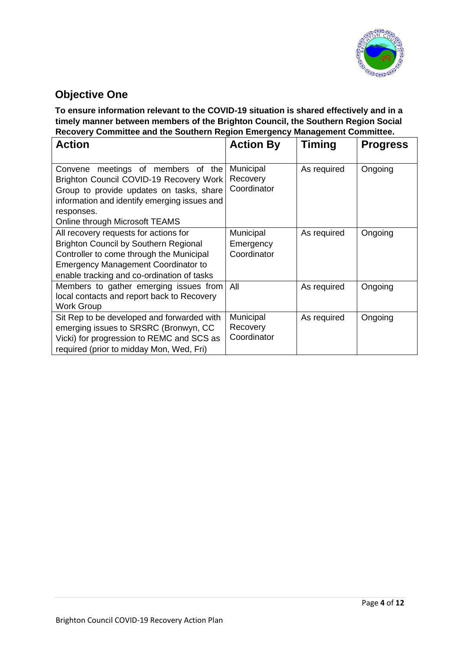

### **Objective One**

**To ensure information relevant to the COVID-19 situation is shared effectively and in a timely manner between members of the Brighton Council, the Southern Region Social Recovery Committee and the Southern Region Emergency Management Committee.** 

| <b>Action</b>                                                                                                                                                                                                                 | <b>Action By</b>                      | <b>Timing</b> | <b>Progress</b> |
|-------------------------------------------------------------------------------------------------------------------------------------------------------------------------------------------------------------------------------|---------------------------------------|---------------|-----------------|
| Convene meetings of members of the<br>Brighton Council COVID-19 Recovery Work<br>Group to provide updates on tasks, share<br>information and identify emerging issues and<br>responses.<br>Online through Microsoft TEAMS     | Municipal<br>Recovery<br>Coordinator  | As required   | Ongoing         |
| All recovery requests for actions for<br><b>Brighton Council by Southern Regional</b><br>Controller to come through the Municipal<br><b>Emergency Management Coordinator to</b><br>enable tracking and co-ordination of tasks | Municipal<br>Emergency<br>Coordinator | As required   | Ongoing         |
| Members to gather emerging issues from<br>local contacts and report back to Recovery<br><b>Work Group</b>                                                                                                                     | All                                   | As required   | Ongoing         |
| Sit Rep to be developed and forwarded with<br>emerging issues to SRSRC (Bronwyn, CC<br>Vicki) for progression to REMC and SCS as<br>required (prior to midday Mon, Wed, Fri)                                                  | Municipal<br>Recovery<br>Coordinator  | As required   | Ongoing         |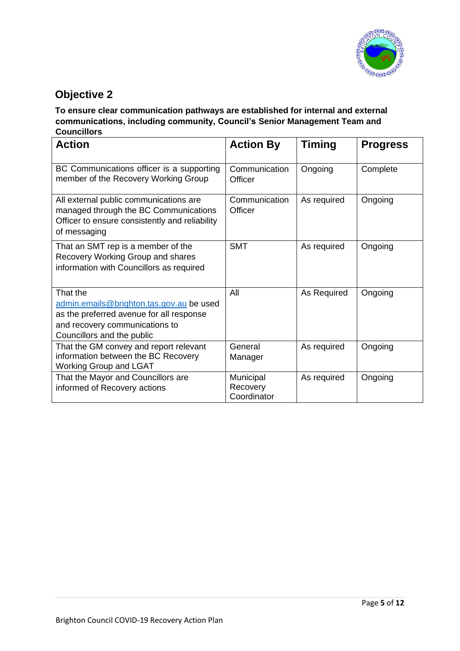

## **Objective 2**

#### **To ensure clear communication pathways are established for internal and external communications, including community, Council's Senior Management Team and Councillors**

| <b>Action</b>                                                                                                                                                    | <b>Action By</b>                     | <b>Timing</b> | <b>Progress</b> |
|------------------------------------------------------------------------------------------------------------------------------------------------------------------|--------------------------------------|---------------|-----------------|
| BC Communications officer is a supporting<br>member of the Recovery Working Group                                                                                | Communication<br>Officer             | Ongoing       | Complete        |
| All external public communications are<br>managed through the BC Communications<br>Officer to ensure consistently and reliability<br>of messaging                | Communication<br>Officer             | As required   | Ongoing         |
| That an SMT rep is a member of the<br>Recovery Working Group and shares<br>information with Councillors as required                                              | <b>SMT</b>                           | As required   | Ongoing         |
| That the<br>admin.emails@brighton.tas.gov.au be used<br>as the preferred avenue for all response<br>and recovery communications to<br>Councillors and the public | All                                  | As Required   | Ongoing         |
| That the GM convey and report relevant<br>information between the BC Recovery<br><b>Working Group and LGAT</b>                                                   | General<br>Manager                   | As required   | Ongoing         |
| That the Mayor and Councillors are<br>informed of Recovery actions                                                                                               | Municipal<br>Recovery<br>Coordinator | As required   | Ongoing         |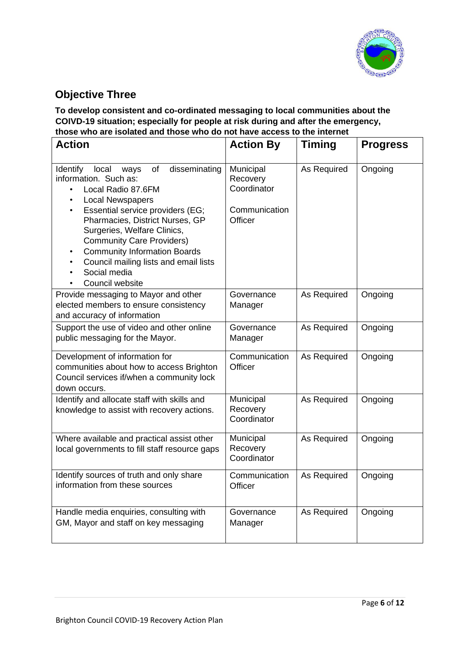

## **Objective Three**

**To develop consistent and co-ordinated messaging to local communities about the COIVD-19 situation; especially for people at risk during and after the emergency, those who are isolated and those who do not have access to the internet** 

| <b>Action</b>                                                                                                                                                                                                                                                                                                                                                                                                                                    | <b>Action By</b>                                                 | <b>Timing</b> | <b>Progress</b> |
|--------------------------------------------------------------------------------------------------------------------------------------------------------------------------------------------------------------------------------------------------------------------------------------------------------------------------------------------------------------------------------------------------------------------------------------------------|------------------------------------------------------------------|---------------|-----------------|
| disseminating<br>Identify<br>local<br>of<br>ways<br>information. Such as:<br>Local Radio 87.6FM<br>$\bullet$<br><b>Local Newspapers</b><br>$\bullet$<br>Essential service providers (EG;<br>$\bullet$<br>Pharmacies, District Nurses, GP<br>Surgeries, Welfare Clinics,<br><b>Community Care Providers)</b><br><b>Community Information Boards</b><br>$\bullet$<br>Council mailing lists and email lists<br>٠<br>Social media<br>Council website | Municipal<br>Recovery<br>Coordinator<br>Communication<br>Officer | As Required   | Ongoing         |
| Provide messaging to Mayor and other<br>elected members to ensure consistency<br>and accuracy of information                                                                                                                                                                                                                                                                                                                                     | Governance<br>Manager                                            | As Required   | Ongoing         |
| Support the use of video and other online<br>public messaging for the Mayor.                                                                                                                                                                                                                                                                                                                                                                     | Governance<br>Manager                                            | As Required   | Ongoing         |
| Development of information for<br>communities about how to access Brighton<br>Council services if/when a community lock<br>down occurs.                                                                                                                                                                                                                                                                                                          | Communication<br>Officer                                         | As Required   | Ongoing         |
| Identify and allocate staff with skills and<br>knowledge to assist with recovery actions.                                                                                                                                                                                                                                                                                                                                                        | Municipal<br>Recovery<br>Coordinator                             | As Required   | Ongoing         |
| Where available and practical assist other<br>local governments to fill staff resource gaps                                                                                                                                                                                                                                                                                                                                                      | Municipal<br>Recovery<br>Coordinator                             | As Required   | Ongoing         |
| Identify sources of truth and only share<br>information from these sources                                                                                                                                                                                                                                                                                                                                                                       | Communication<br>Officer                                         | As Required   | Ongoing         |
| Handle media enquiries, consulting with<br>GM, Mayor and staff on key messaging                                                                                                                                                                                                                                                                                                                                                                  | Governance<br>Manager                                            | As Required   | Ongoing         |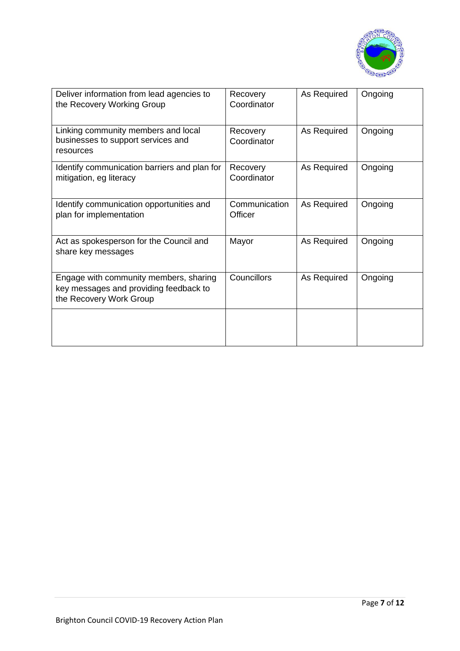

| Deliver information from lead agencies to<br>the Recovery Working Group                                     | Recovery<br>Coordinator  | As Required | Ongoing |
|-------------------------------------------------------------------------------------------------------------|--------------------------|-------------|---------|
| Linking community members and local<br>businesses to support services and<br>resources                      | Recovery<br>Coordinator  | As Required | Ongoing |
| Identify communication barriers and plan for<br>mitigation, eg literacy                                     | Recovery<br>Coordinator  | As Required | Ongoing |
| Identify communication opportunities and<br>plan for implementation                                         | Communication<br>Officer | As Required | Ongoing |
| Act as spokesperson for the Council and<br>share key messages                                               | Mayor                    | As Required | Ongoing |
| Engage with community members, sharing<br>key messages and providing feedback to<br>the Recovery Work Group | Councillors              | As Required | Ongoing |
|                                                                                                             |                          |             |         |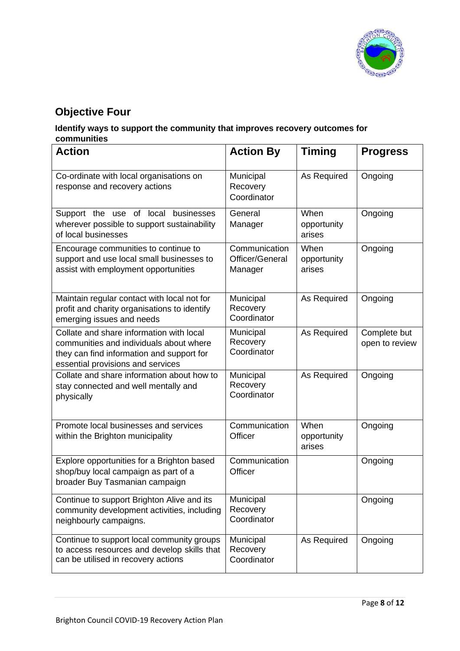

## **Objective Four**

#### **Identify ways to support the community that improves recovery outcomes for communities**

| <b>Action</b>                                                                                                                                                         | <b>Action By</b>                            | <b>Timing</b>                 | <b>Progress</b>                |
|-----------------------------------------------------------------------------------------------------------------------------------------------------------------------|---------------------------------------------|-------------------------------|--------------------------------|
| Co-ordinate with local organisations on<br>response and recovery actions                                                                                              | Municipal<br>Recovery<br>Coordinator        | As Required                   | Ongoing                        |
| Support the use of local businesses<br>wherever possible to support sustainability<br>of local businesses                                                             | General<br>Manager                          | When<br>opportunity<br>arises | Ongoing                        |
| Encourage communities to continue to<br>support and use local small businesses to<br>assist with employment opportunities                                             | Communication<br>Officer/General<br>Manager | When<br>opportunity<br>arises | Ongoing                        |
| Maintain regular contact with local not for<br>profit and charity organisations to identify<br>emerging issues and needs                                              | Municipal<br>Recovery<br>Coordinator        | As Required                   | Ongoing                        |
| Collate and share information with local<br>communities and individuals about where<br>they can find information and support for<br>essential provisions and services | Municipal<br>Recovery<br>Coordinator        | As Required                   | Complete but<br>open to review |
| Collate and share information about how to<br>stay connected and well mentally and<br>physically                                                                      | Municipal<br>Recovery<br>Coordinator        | As Required                   | Ongoing                        |
| Promote local businesses and services<br>within the Brighton municipality                                                                                             | Communication<br>Officer                    | When<br>opportunity<br>arises | Ongoing                        |
| Explore opportunities for a Brighton based<br>shop/buy local campaign as part of a<br>broader Buy Tasmanian campaign                                                  | Communication<br>Officer                    |                               | Ongoing                        |
| Continue to support Brighton Alive and its<br>community development activities, including<br>neighbourly campaigns.                                                   | Municipal<br>Recovery<br>Coordinator        |                               | Ongoing                        |
| Continue to support local community groups<br>to access resources and develop skills that<br>can be utilised in recovery actions                                      | Municipal<br>Recovery<br>Coordinator        | As Required                   | Ongoing                        |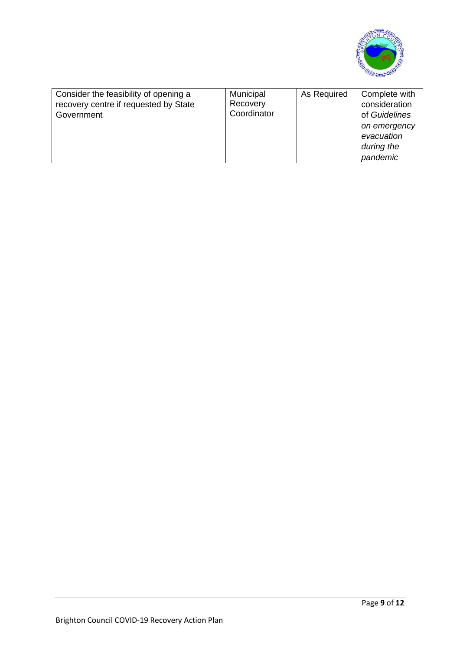

| Consider the feasibility of opening a<br>recovery centre if requested by State<br>Government | Municipal<br>Recovery<br>Coordinator | As Required | Complete with<br>consideration<br>of Guidelines<br>on emergency<br>evacuation<br>during the<br>pandemic |
|----------------------------------------------------------------------------------------------|--------------------------------------|-------------|---------------------------------------------------------------------------------------------------------|
|----------------------------------------------------------------------------------------------|--------------------------------------|-------------|---------------------------------------------------------------------------------------------------------|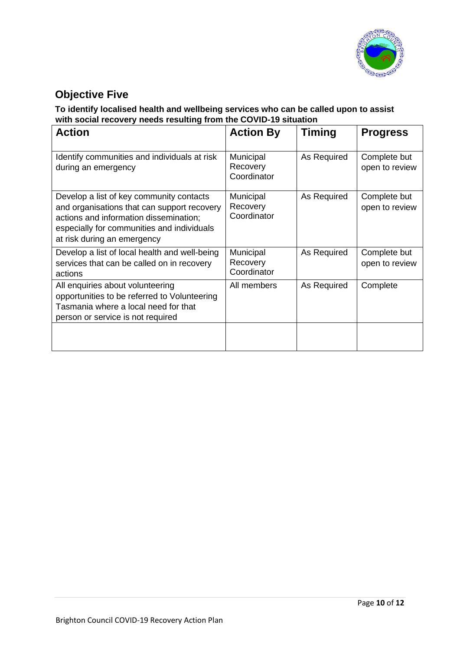

## **Objective Five**

#### **To identify localised health and wellbeing services who can be called upon to assist with social recovery needs resulting from the COVID-19 situation**

| <b>Action</b>                                                                                                                                                                                                  | <b>Action By</b>                     | <b>Timing</b> | <b>Progress</b>                |
|----------------------------------------------------------------------------------------------------------------------------------------------------------------------------------------------------------------|--------------------------------------|---------------|--------------------------------|
| Identify communities and individuals at risk<br>during an emergency                                                                                                                                            | Municipal<br>Recovery<br>Coordinator | As Required   | Complete but<br>open to review |
| Develop a list of key community contacts<br>and organisations that can support recovery<br>actions and information dissemination;<br>especially for communities and individuals<br>at risk during an emergency | Municipal<br>Recovery<br>Coordinator | As Required   | Complete but<br>open to review |
| Develop a list of local health and well-being<br>services that can be called on in recovery<br>actions                                                                                                         | Municipal<br>Recovery<br>Coordinator | As Required   | Complete but<br>open to review |
| All enquiries about volunteering<br>opportunities to be referred to Volunteering<br>Tasmania where a local need for that<br>person or service is not required                                                  | All members                          | As Required   | Complete                       |
|                                                                                                                                                                                                                |                                      |               |                                |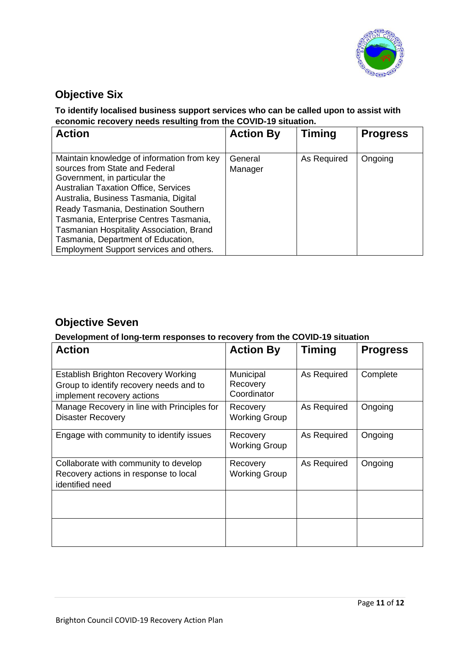

## **Objective Six**

#### **To identify localised business support services who can be called upon to assist with economic recovery needs resulting from the COVID-19 situation.**

| <b>Action</b>                                                                                                                                                                                                                                                                                                                                                             | <b>Action By</b>   | <b>Timing</b> | <b>Progress</b> |
|---------------------------------------------------------------------------------------------------------------------------------------------------------------------------------------------------------------------------------------------------------------------------------------------------------------------------------------------------------------------------|--------------------|---------------|-----------------|
| Maintain knowledge of information from key<br>sources from State and Federal<br>Government, in particular the<br><b>Australian Taxation Office, Services</b><br>Australia, Business Tasmania, Digital<br>Ready Tasmania, Destination Southern<br>Tasmania, Enterprise Centres Tasmania,<br>Tasmanian Hospitality Association, Brand<br>Tasmania, Department of Education, | General<br>Manager | As Required   | Ongoing         |
| Employment Support services and others.                                                                                                                                                                                                                                                                                                                                   |                    |               |                 |

### **Objective Seven**

#### **Development of long-term responses to recovery from the COVID-19 situation**

| <b>Action</b>                                                                                                       | <b>Action By</b>                     | Timing      | <b>Progress</b> |
|---------------------------------------------------------------------------------------------------------------------|--------------------------------------|-------------|-----------------|
| <b>Establish Brighton Recovery Working</b><br>Group to identify recovery needs and to<br>implement recovery actions | Municipal<br>Recovery<br>Coordinator | As Required | Complete        |
| Manage Recovery in line with Principles for<br><b>Disaster Recovery</b>                                             | Recovery<br><b>Working Group</b>     | As Required | Ongoing         |
| Engage with community to identify issues                                                                            | Recovery<br><b>Working Group</b>     | As Required | Ongoing         |
| Collaborate with community to develop<br>Recovery actions in response to local<br>identified need                   | Recovery<br><b>Working Group</b>     | As Required | Ongoing         |
|                                                                                                                     |                                      |             |                 |
|                                                                                                                     |                                      |             |                 |